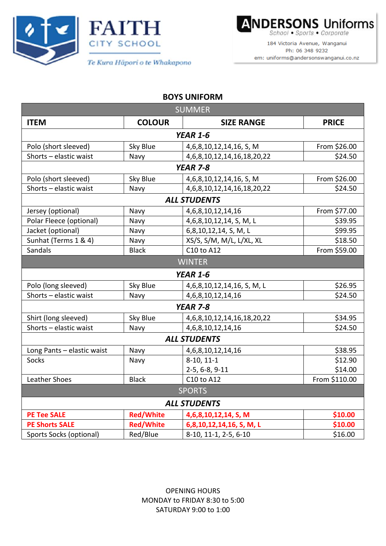





184 Victoria Avenue, Wanganui Ph: 06 348 9232 em: uniforms@andersonswanganui.co.nz

## **BOYS UNIFORM**

| <b>SUMMER</b>              |                  |                                     |               |  |  |
|----------------------------|------------------|-------------------------------------|---------------|--|--|
| <b>ITEM</b>                | <b>COLOUR</b>    | <b>SIZE RANGE</b>                   | <b>PRICE</b>  |  |  |
| <b>YEAR 1-6</b>            |                  |                                     |               |  |  |
| Polo (short sleeved)       | Sky Blue         | 4, 6, 8, 10, 12, 14, 16, S, M       | From \$26.00  |  |  |
| Shorts - elastic waist     | Navy             | 4, 6, 8, 10, 12, 14, 16, 18, 20, 22 | \$24.50       |  |  |
| <b>YEAR 7-8</b>            |                  |                                     |               |  |  |
| Polo (short sleeved)       | Sky Blue         | 4,6,8,10,12,14,16, S, M             | From \$26.00  |  |  |
| Shorts - elastic waist     | Navy             | 4, 6, 8, 10, 12, 14, 16, 18, 20, 22 | \$24.50       |  |  |
| <b>ALL STUDENTS</b>        |                  |                                     |               |  |  |
| Jersey (optional)          | Navy             | 4, 6, 8, 10, 12, 14, 16             | From \$77.00  |  |  |
| Polar Fleece (optional)    | Navy             | 4,6,8,10,12,14, S, M, L             | \$39.95       |  |  |
| Jacket (optional)          | Navy             | 6,8,10,12,14, S, M, L               | \$99.95       |  |  |
| Sunhat (Terms 1 & 4)       | Navy             | XS/S, S/M, M/L, L/XL, XL            | \$18.50       |  |  |
| Sandals                    | <b>Black</b>     | C10 to A12                          | From \$59.00  |  |  |
|                            |                  | <b>WINTER</b>                       |               |  |  |
| <b>YEAR 1-6</b>            |                  |                                     |               |  |  |
| Polo (long sleeved)        | Sky Blue         | 4, 6, 8, 10, 12, 14, 16, S, M, L    | \$26.95       |  |  |
| Shorts - elastic waist     | Navy             | 4, 6, 8, 10, 12, 14, 16             | \$24.50       |  |  |
|                            |                  | <b>YEAR 7-8</b>                     |               |  |  |
| Shirt (long sleeved)       | Sky Blue         | 4, 6, 8, 10, 12, 14, 16, 18, 20, 22 | \$34.95       |  |  |
| Shorts - elastic waist     | Navy             | 4, 6, 8, 10, 12, 14, 16             | \$24.50       |  |  |
| <b>ALL STUDENTS</b>        |                  |                                     |               |  |  |
| Long Pants - elastic waist | Navy             | 4, 6, 8, 10, 12, 14, 16             | \$38.95       |  |  |
| Socks                      | Navy             | $8-10, 11-1$                        | \$12.90       |  |  |
|                            |                  | 2-5, 6-8, 9-11                      | \$14.00       |  |  |
| Leather Shoes              | <b>Black</b>     | C10 to A12                          | From \$110.00 |  |  |
| <b>SPORTS</b>              |                  |                                     |               |  |  |
| <b>ALL STUDENTS</b>        |                  |                                     |               |  |  |
| <b>PE Tee SALE</b>         | <b>Red/White</b> | 4,6,8,10,12,14, S, M                | \$10.00       |  |  |
| <b>PE Shorts SALE</b>      | <b>Red/White</b> | 6,8,10,12,14,16, S, M, L            | \$10.00       |  |  |
| Sports Socks (optional)    | Red/Blue         | 8-10, 11-1, 2-5, 6-10               | \$16.00       |  |  |